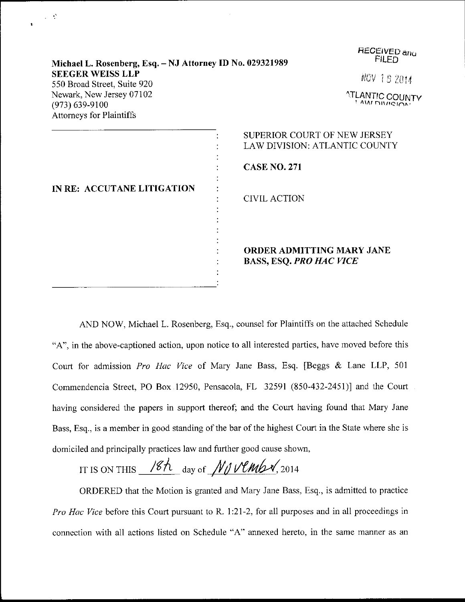| Michael L. Rosenberg, Esq. - NJ Attorney ID No. 029321989                         | <b>RECEIVED and</b><br>FILED                                                                                       |
|-----------------------------------------------------------------------------------|--------------------------------------------------------------------------------------------------------------------|
| <b>SEEGER WEISS LLP</b><br>550 Broad Street, Suite 920                            | <b>NOV 18 2014</b>                                                                                                 |
| Newark, New Jersey 07102<br>$(973) 639 - 9100$<br><b>Attorneys for Plaintiffs</b> | <b>ATLANTIC COUNTY</b><br><b>AM DIMEION</b>                                                                        |
| IN RE: ACCUTANE LITIGATION                                                        | <b>SUPERIOR COURT OF NEW JERSEY</b><br>LAW DIVISION: ATLANTIC COUNTY<br><b>CASE NO. 271</b><br><b>CIVIL ACTION</b> |
|                                                                                   | ORDER ADMITTING MARY JANE<br><b>BASS, ESQ. PRO HAC VICE</b>                                                        |

 $\varphi\in\mathfrak{L}$ 

AND NOW, Michael L. Rosenberg, Esq., counsel for Plaintiffs on the attached Schedule "A", in the above-captioned action, upon notice to all interested parties, have moved before this Court for admission Pro Hac Vice of Mary Jane Bass, Esq. [Beggs & Lane LLP, <sup>501</sup> Commendencia Street, PO Box 12950, Pensacola, FL 32591 (850-432-2451)) and the Court having considered the papers in support thereof; and the Court having found that Mary Jane Bass, Esq., is a member in good standing of the bar of the highest Court in the State where she is domiciled and principally practices law and further good cause shown,

IT IS ON THIS  $\frac{18h}{\text{day of M} \text{V}}$ 

ORDERED that the Motion is granted and Mary Jane Bass, Esq., is admitted to practice Pro Hac Vice before this Court pursuant to R. 1:21-2, for all purposes and in all proceedings in connection with all actions listed on Schedule "A" annexed hereto, in the same manner as an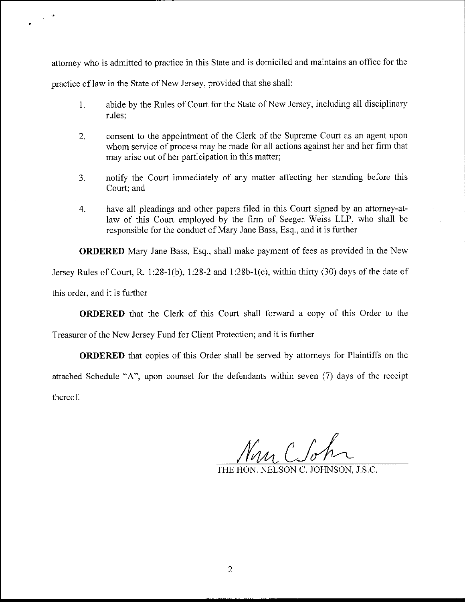attomey who is admitted to practice in this State and is domiciled and maintains an office for the practice of law in the State of New Jersey, provided that she shall:

- 1. abide by the Rules of Court for the State of New Jersey, including all disciplinary rules;
- 2. consent to the appointment of the Clerk of the Supreme Court as an agent upon whom service of process may be made for all actions against her and her firm that may arise out of her participation in this matter;
- 3. notify the Court immediately of any matter affecting her standing before this Court; and
- 4. have all pleadings and other papers filed in this Court signed by an attorney-atlaw of this Court employed by the firm of Seeger Weiss LLP, who shall be responsible for the conduct of Mary Jane Bass. Esq., and it is further

ORDERED Mary Jane Bass, Esq., shall make payment of fees as provided in the New

Jersey Rules of Court, R. 1:28-l(b), 1:28-2 and 1:28b-1(e), within thirty (30) days of the date of

this order, and it is further

ORDERED that the Clerk of this Court shall forward a copy of this Order to the

Treasurer of the New Jersey Fund for Client Protection; and it is further

**ORDERED** that copies of this Order shall be served by attorneys for Plaintiffs on the attached Schedule "A", upon counsel for the defendants within seven  $(7)$  days of the receipt thereof.

 $\gamma_{\mu\nu}$   $\beta$   $\beta$ 

THE HON. NELSON C. JOHNSON, J.S.C,